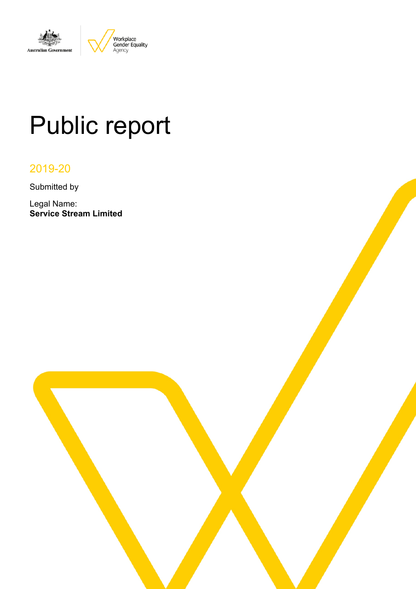

# Public report

# 2019-20

Submitted by

Legal Name: **Service Stream Limited**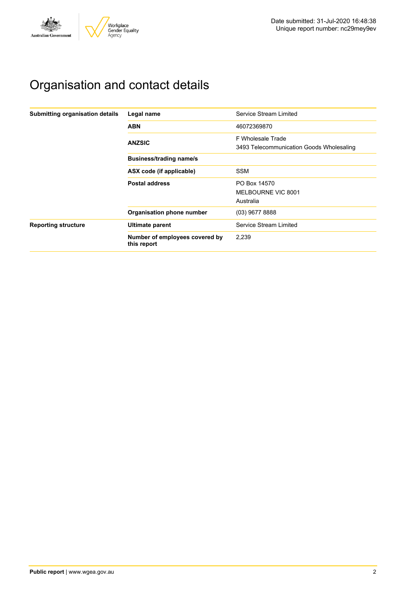

# Organisation and contact details

| Submitting organisation details | Legal name                                    | Service Stream Limited                                        |
|---------------------------------|-----------------------------------------------|---------------------------------------------------------------|
|                                 | <b>ABN</b>                                    | 46072369870                                                   |
|                                 | <b>ANZSIC</b>                                 | F Wholesale Trade<br>3493 Telecommunication Goods Wholesaling |
|                                 | <b>Business/trading name/s</b>                |                                                               |
|                                 | ASX code (if applicable)                      | <b>SSM</b>                                                    |
|                                 | <b>Postal address</b>                         | PO Box 14570<br>MELBOURNE VIC 8001                            |
|                                 |                                               | Australia                                                     |
|                                 | Organisation phone number                     | $(03)$ 9677 8888                                              |
| <b>Reporting structure</b>      | Ultimate parent                               | Service Stream Limited                                        |
|                                 | Number of employees covered by<br>this report | 2,239                                                         |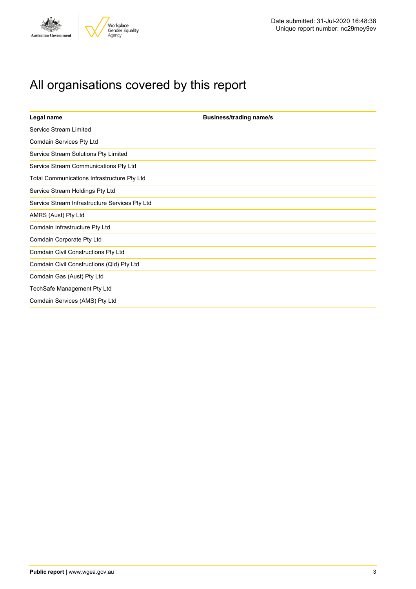

# All organisations covered by this report

| Legal name                                     | <b>Business/trading name/s</b> |
|------------------------------------------------|--------------------------------|
| Service Stream Limited                         |                                |
| Comdain Services Pty Ltd                       |                                |
| Service Stream Solutions Pty Limited           |                                |
| Service Stream Communications Pty Ltd          |                                |
| Total Communications Infrastructure Pty Ltd    |                                |
| Service Stream Holdings Pty Ltd                |                                |
| Service Stream Infrastructure Services Pty Ltd |                                |
| AMRS (Aust) Pty Ltd                            |                                |
| Comdain Infrastructure Pty Ltd                 |                                |
| Comdain Corporate Pty Ltd                      |                                |
| Comdain Civil Constructions Pty Ltd            |                                |
| Comdain Civil Constructions (Qld) Pty Ltd      |                                |
| Comdain Gas (Aust) Pty Ltd                     |                                |
| TechSafe Management Pty Ltd                    |                                |
| Comdain Services (AMS) Pty Ltd                 |                                |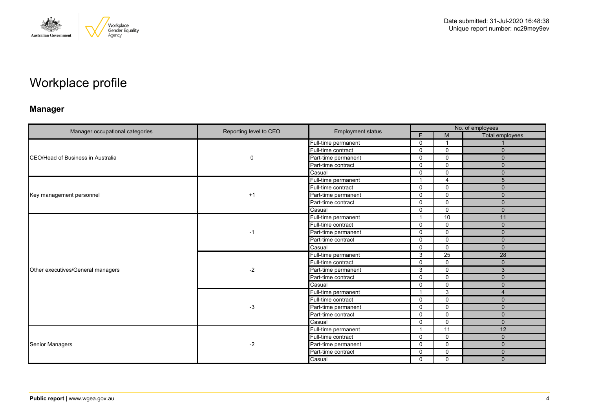

# Workplace profile

### **Manager**

| Manager occupational categories   | Reporting level to CEO |                          |                | No. of employees |                 |  |  |
|-----------------------------------|------------------------|--------------------------|----------------|------------------|-----------------|--|--|
|                                   |                        | <b>Employment status</b> | F              | M                | Total employees |  |  |
|                                   |                        | Full-time permanent      | $\mathbf 0$    | -1               |                 |  |  |
|                                   |                        | Full-time contract       | $\mathbf 0$    | $\mathbf 0$      | $\mathbf{0}$    |  |  |
| CEO/Head of Business in Australia | 0                      | Part-time permanent      | $\Omega$       | $\mathbf 0$      | $\mathbf{0}$    |  |  |
|                                   |                        | Part-time contract       | $\Omega$       | $\Omega$         | $\Omega$        |  |  |
|                                   |                        | Casual                   | $\mathbf 0$    | $\mathbf 0$      | $\Omega$        |  |  |
|                                   |                        | Full-time permanent      |                | $\overline{4}$   | 5               |  |  |
|                                   |                        | Full-time contract       | $\mathbf 0$    | $\mathbf 0$      | $\mathbf 0$     |  |  |
| Key management personnel          | $+1$                   | Part-time permanent      | $\Omega$       | $\Omega$         | $\mathbf{0}$    |  |  |
|                                   |                        | Part-time contract       | $\mathbf{0}$   | $\mathbf 0$      | $\Omega$        |  |  |
|                                   |                        | Casual                   | $\mathbf 0$    | $\mathbf 0$      | $\mathbf 0$     |  |  |
|                                   | $-1$                   | Full-time permanent      |                | 10               | 11              |  |  |
|                                   |                        | Full-time contract       | $\mathbf 0$    | $\mathbf 0$      | $\mathbf{0}$    |  |  |
|                                   |                        | Part-time permanent      | $\mathbf 0$    | $\mathbf 0$      | $\mathbf{0}$    |  |  |
|                                   |                        | Part-time contract       | $\mathbf 0$    | $\mathbf 0$      | $\mathbf{0}$    |  |  |
|                                   |                        | Casual                   | $\mathbf{0}$   | $\Omega$         | $\Omega$        |  |  |
|                                   | $-2$                   | Full-time permanent      | 3              | 25               | 28              |  |  |
|                                   |                        | Full-time contract       | $\mathbf 0$    | $\mathbf 0$      | $\mathbf{0}$    |  |  |
| Other executives/General managers |                        | Part-time permanent      | 3              | $\Omega$         | 3               |  |  |
|                                   |                        | Part-time contract       | $\Omega$       | $\mathbf 0$      | $\mathbf{0}$    |  |  |
|                                   |                        | Casual                   | $\Omega$       | $\mathbf 0$      | $\Omega$        |  |  |
|                                   |                        | Full-time permanent      | $\overline{1}$ | 3                | $\overline{4}$  |  |  |
|                                   |                        | Full-time contract       | $\Omega$       | $\mathbf 0$      | $\mathbf{0}$    |  |  |
|                                   | $-3$                   | Part-time permanent      | $\Omega$       | $\mathbf 0$      | $\mathbf{0}$    |  |  |
|                                   |                        | Part-time contract       | $\mathbf 0$    | $\mathbf 0$      | $\Omega$        |  |  |
|                                   |                        | Casual                   | $\Omega$       | $\Omega$         | $\mathbf{0}$    |  |  |
|                                   |                        | Full-time permanent      |                | 11               | 12              |  |  |
|                                   |                        | Full-time contract       | $\Omega$       | $\mathbf 0$      | $\Omega$        |  |  |
| <b>Senior Managers</b>            | $-2$                   | Part-time permanent      | $\mathbf 0$    | $\mathbf 0$      | $\Omega$        |  |  |
|                                   |                        | Part-time contract       | $\Omega$       | $\mathbf 0$      | $\mathbf{0}$    |  |  |
|                                   |                        | Casual                   | $\mathbf 0$    | $\mathbf 0$      | $\Omega$        |  |  |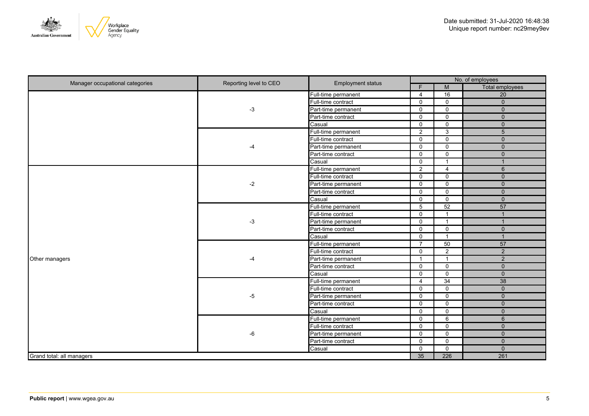

| Manager occupational categories | Reporting level to CEO | <b>Employment status</b> | No. of employees        |                 |                        |
|---------------------------------|------------------------|--------------------------|-------------------------|-----------------|------------------------|
|                                 |                        |                          | F                       | M               | <b>Total employees</b> |
|                                 |                        | Full-time permanent      | $\overline{4}$          | 16              | $\overline{20}$        |
|                                 |                        | Full-time contract       | $\mathbf 0$             | $\mathbf 0$     | $\overline{0}$         |
|                                 | $-3$                   | Part-time permanent      | $\mathbf{0}$            | $\mathbf 0$     | $\mathbf{0}$           |
|                                 |                        | Part-time contract       | $\mathbf 0$             | $\overline{0}$  | $\overline{0}$         |
|                                 |                        | Casual                   | $\mathbf{0}$            | $\mathbf 0$     | $\overline{0}$         |
|                                 |                        | Full-time permanent      | 2                       | $\overline{3}$  | $\overline{5}$         |
|                                 |                        | Full-time contract       | $\mathbf 0$             | $\mathsf 0$     | $\mathsf{O}\xspace$    |
|                                 | -4                     | Part-time permanent      | $\mathbf 0$             | $\mathbf 0$     | $\overline{0}$         |
|                                 |                        | Part-time contract       | $\mathbf 0$             | $\mathbf 0$     | $\mathbf{0}$           |
|                                 |                        | Casual                   | $\mathbf 0$             | $\overline{1}$  | $\overline{1}$         |
|                                 |                        | Full-time permanent      | 2                       | $\overline{4}$  | $6\phantom{1}$         |
|                                 |                        | Full-time contract       | $\mathbf 0$             | $\mathbf 0$     | $\mathbf{0}$           |
|                                 | $-2$                   | Part-time permanent      | $\mathbf 0$             | $\mathbf 0$     | $\mathsf{O}\xspace$    |
|                                 |                        | Part-time contract       | $\mathbf 0$             | $\mathbf 0$     | $\mathsf{O}\xspace$    |
|                                 |                        | Casual                   | $\mathbf 0$             | $\mathsf{O}$    | $\mathbf 0$            |
|                                 | $-3$                   | Full-time permanent      | 5                       | 52              | 57                     |
|                                 |                        | Full-time contract       | $\mathbf 0$             | $\overline{1}$  | $\mathbf{1}$           |
|                                 |                        | Part-time permanent      | $\mathbf 0$             | $\overline{1}$  | $\mathbf{1}$           |
|                                 |                        | Part-time contract       | $\mathbf 0$             | $\mathsf{O}$    | $\mathbf 0$            |
|                                 |                        | Casual                   | $\mathbf 0$             | $\overline{1}$  | $\mathbf{1}$           |
|                                 | $-4$                   | Full-time permanent      | $\overline{7}$          | $\overline{50}$ | 57                     |
|                                 |                        | Full-time contract       | $\mathbf 0$             | $\overline{2}$  | $\overline{2}$         |
| Other managers                  |                        | Part-time permanent      | $\overline{\mathbf{1}}$ | $\overline{1}$  | $\overline{2}$         |
|                                 |                        | Part-time contract       | 0                       | $\mathsf{O}$    | $\mathbf 0$            |
|                                 |                        | Casual                   | 0                       | $\mathsf{O}$    | $\mathbf 0$            |
|                                 |                        | Full-time permanent      | $\overline{4}$          | $\overline{34}$ | 38                     |
|                                 |                        | Full-time contract       | 0                       | $\mathbf 0$     | $\mathbf 0$            |
|                                 | -5                     | Part-time permanent      | $\mathbf 0$             | $\mathbf 0$     | $\mathbf 0$            |
|                                 |                        | Part-time contract       | $\mathbf 0$             | $\mathbf 0$     | $\mathbf 0$            |
|                                 |                        | Casual                   | $\mathbf 0$             | $\mathbf 0$     | $\mathbf 0$            |
|                                 |                        | Full-time permanent      | $\mathbf 0$             | 6               | $6\phantom{1}$         |
|                                 |                        | Full-time contract       | $\mathbf 0$             | $\mathbf 0$     | $\mathbf 0$            |
|                                 | -6                     | Part-time permanent      | $\mathbf 0$             | $\mathbf 0$     | $\mathbf{0}$           |
|                                 |                        | Part-time contract       | $\mathbf 0$             | $\mathbf 0$     | $\mathbf{0}$           |
|                                 |                        | Casual                   | $\mathbf 0$             | $\mathbf 0$     | $\mathbf{0}$           |
| Grand total: all managers       |                        |                          | $\overline{35}$         | 226             | 261                    |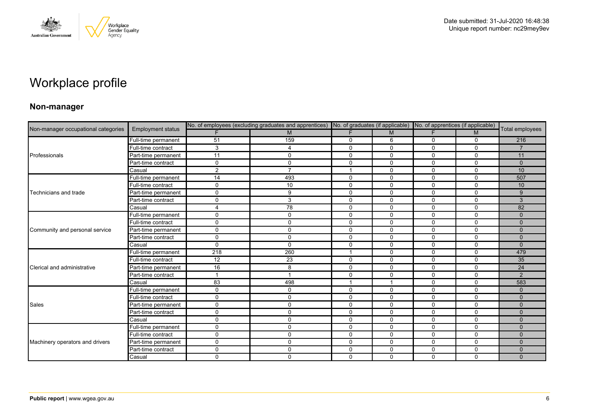

# Workplace profile

### **Non-manager**

| Non-manager occupational categories |                          |              | No. of employees (excluding graduates and apprentices) No. of graduates (if applicable) No. of apprentices (if applicable) |                          |              |              |              |                 |
|-------------------------------------|--------------------------|--------------|----------------------------------------------------------------------------------------------------------------------------|--------------------------|--------------|--------------|--------------|-----------------|
|                                     | <b>Employment status</b> |              | M                                                                                                                          |                          | M            | F.           | M            | Total employees |
|                                     | Full-time permanent      | 51           | 159                                                                                                                        | 0                        | 6            | 0            | 0            | 216             |
|                                     | Full-time contract       | 3            | 4                                                                                                                          | $\mathbf{0}$             | $\mathbf{0}$ | $\Omega$     | $\Omega$     | $\overline{7}$  |
| Professionals                       | Part-time permanent      | 11           | 0                                                                                                                          | $\mathbf 0$              | 0            | 0            | $\mathbf 0$  | 11              |
|                                     | Part-time contract       | $\Omega$     | $\Omega$                                                                                                                   | $\mathbf 0$              | $\mathbf 0$  | $\mathbf{0}$ | $\mathbf 0$  | $\Omega$        |
|                                     | Casual                   | 2            | $\overline{7}$                                                                                                             | 1                        | 0            | 0            | 0            | 10              |
|                                     | Full-time permanent      | 14           | 493                                                                                                                        | $\mathbf 0$              | $\mathbf 0$  | $\Omega$     | $\mathbf 0$  | 507             |
|                                     | Full-time contract       | 0            | 10                                                                                                                         | 0                        | 0            | 0            | $\mathbf 0$  | 10              |
| Technicians and trade               | Part-time permanent      | $\Omega$     | 9                                                                                                                          | $\mathbf 0$              | $\mathbf{0}$ | $\Omega$     | $\Omega$     | 9               |
|                                     | Part-time contract       | 0            | 3                                                                                                                          | $\mathbf 0$              | $\mathbf 0$  | $\Omega$     | $\mathbf 0$  | 3               |
|                                     | Casual                   | 4            | 78                                                                                                                         | $\mathbf 0$              | $\mathbf 0$  | $\mathbf 0$  | $\mathbf 0$  | 82              |
|                                     | Full-time permanent      | 0            | $\Omega$                                                                                                                   | $\mathbf 0$              | 0            | 0            | $\mathbf 0$  | $\mathbf{0}$    |
|                                     | Full-time contract       | 0            | 0                                                                                                                          | $\Omega$                 | $\Omega$     | 0            | $\Omega$     | $\Omega$        |
| Community and personal service      | Part-time permanent      | 0            | 0                                                                                                                          | $\mathbf 0$              | $\mathbf 0$  | 0            | $\mathbf 0$  | $\mathbf{0}$    |
|                                     | Part-time contract       | 0            | $\Omega$                                                                                                                   | $\mathbf 0$              | $\mathbf 0$  | 0            | $\mathbf 0$  | $\mathbf{0}$    |
|                                     | Casual                   | 0            | $\Omega$                                                                                                                   | $\mathbf 0$              | 0            | $\Omega$     | $\mathbf 0$  | $\mathbf{0}$    |
|                                     | Full-time permanent      | 218          | 260                                                                                                                        | $\overline{\phantom{a}}$ | 0            | 0            | $\mathbf 0$  | 479             |
|                                     | Full-time contract       | 12           | 23                                                                                                                         | $\mathbf 0$              | $\mathbf 0$  | $\mathbf 0$  | $\mathbf 0$  | 35              |
| Clerical and administrative         | Part-time permanent      | 16           | 8                                                                                                                          | $\mathbf 0$              | $\Omega$     | $\Omega$     | $\mathbf{0}$ | 24              |
|                                     | Part-time contract       | 1            | $\overline{\phantom{a}}$                                                                                                   | $\mathbf 0$              | 0            | 0            | $\mathbf 0$  | 2               |
|                                     | Casual                   | 83           | 498                                                                                                                        | 1                        |              | 0            | 0            | 583             |
|                                     | Full-time permanent      | 0            | 0                                                                                                                          | $\mathbf 0$              | $\mathbf 0$  | $\mathbf 0$  | $\mathbf 0$  | $\Omega$        |
|                                     | Full-time contract       | 0            | $\Omega$                                                                                                                   | $\mathbf 0$              | 0            | 0            | $\mathbf 0$  | $\Omega$        |
| Sales                               | Part-time permanent      | 0            | 0                                                                                                                          | $\mathbf 0$              | $\mathbf 0$  | 0            | $\mathbf 0$  | $\mathbf{0}$    |
|                                     | Part-time contract       | 0            | 0                                                                                                                          | $\mathbf 0$              | $\mathbf 0$  | 0            | $\mathbf 0$  | $\Omega$        |
|                                     | Casual                   | 0            | 0                                                                                                                          | $\mathbf 0$              | $\mathbf 0$  | 0            | $\mathbf 0$  | $\mathbf{0}$    |
|                                     | Full-time permanent      | 0            | 0                                                                                                                          | 0                        | 0            | 0            | 0            | $\mathbf{0}$    |
|                                     | Full-time contract       | $\mathbf{0}$ | 0                                                                                                                          | $\mathbf 0$              | $\mathbf 0$  | $\Omega$     | $\mathbf 0$  | $\Omega$        |
| Machinery operators and drivers     | Part-time permanent      | 0            | 0                                                                                                                          | $\mathbf 0$              | 0            | 0            | $\mathbf 0$  | $\Omega$        |
|                                     | Part-time contract       | 0            | $\Omega$                                                                                                                   | $\mathbf 0$              | 0            | 0            | $\mathbf 0$  | $\Omega$        |
|                                     | Casual                   | $\Omega$     | $\Omega$                                                                                                                   | $\mathbf 0$              | $\mathbf{0}$ | $\Omega$     | 0            | $\Omega$        |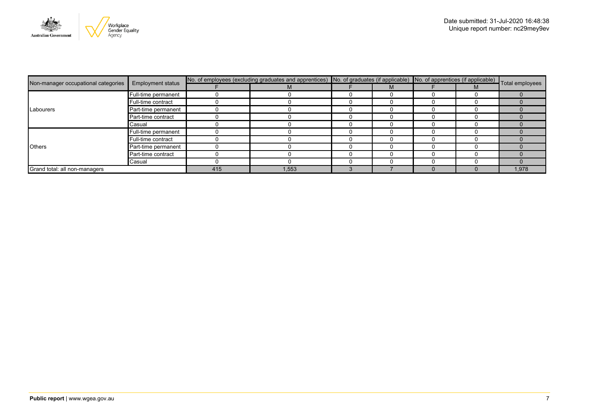

|                                     | <b>Employment status</b> | No. of employees (excluding graduates and apprentices) No. of graduates (if applicable) No. of apprentices (if applicable) Total employees |       |  |  |  |  |      |
|-------------------------------------|--------------------------|--------------------------------------------------------------------------------------------------------------------------------------------|-------|--|--|--|--|------|
| Non-manager occupational categories |                          |                                                                                                                                            | M     |  |  |  |  |      |
|                                     | Full-time permanent      |                                                                                                                                            |       |  |  |  |  |      |
|                                     | Full-time contract       |                                                                                                                                            |       |  |  |  |  |      |
| Labourers                           | Part-time permanent      |                                                                                                                                            |       |  |  |  |  |      |
|                                     | Part-time contract       |                                                                                                                                            |       |  |  |  |  |      |
|                                     | Casual                   |                                                                                                                                            |       |  |  |  |  |      |
|                                     | Full-time permanent      |                                                                                                                                            |       |  |  |  |  |      |
|                                     | Full-time contract       |                                                                                                                                            |       |  |  |  |  |      |
| <b>Others</b>                       | Part-time permanent      |                                                                                                                                            |       |  |  |  |  |      |
|                                     | Part-time contract       |                                                                                                                                            |       |  |  |  |  |      |
|                                     | Casual                   |                                                                                                                                            |       |  |  |  |  |      |
| Grand total: all non-managers       |                          | 415                                                                                                                                        | 1,553 |  |  |  |  | .978 |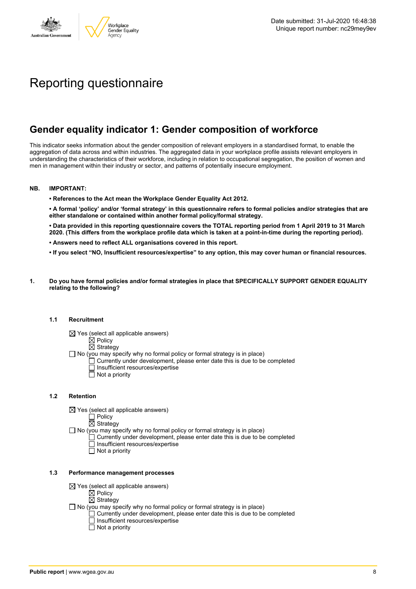

# Reporting questionnaire

### **Gender equality indicator 1: Gender composition of workforce**

This indicator seeks information about the gender composition of relevant employers in a standardised format, to enable the aggregation of data across and within industries. The aggregated data in your workplace profile assists relevant employers in understanding the characteristics of their workforce, including in relation to occupational segregation, the position of women and men in management within their industry or sector, and patterns of potentially insecure employment.

#### **NB. IMPORTANT:**

**• References to the Act mean the Workplace Gender Equality Act 2012.**

• A formal 'policy' and/or 'formal strategy' in this questionnaire refers to formal policies and/or strategies that are **either standalone or contained within another formal policy/formal strategy.**

• Data provided in this reporting questionnaire covers the TOTAL reporting period from 1 April 2019 to 31 March 2020. (This differs from the workplace profile data which is taken at a point-in-time during the reporting period).

- **• Answers need to reflect ALL organisations covered in this report.**
- . If you select "NO, Insufficient resources/expertise" to any option, this may cover human or financial resources.
- **1. Do you have formal policies and/or formal strategies in place that SPECIFICALLY SUPPORT GENDER EQUALITY relating to the following?**

#### **1.1 Recruitment**

- $\boxtimes$  Yes (select all applicable answers)
	- $\mathbb{\dot{A}}$  Policy
	- $\boxtimes$  Strategy
- No (you may specify why no formal policy or formal strategy is in place)
	- $\Box$  Currently under development, please enter date this is due to be completed
		- $\overline{\Box}$  Insufficient resources/expertise
		- $\Box$  Not a priority

#### **1.2 Retention**

- $\boxtimes$  Yes (select all applicable answers)
	- $\Box$  Policy
	- $\boxtimes$  Strategy
- No (you may specify why no formal policy or formal strategy is in place)
	- $\Box$  Currently under development, please enter date this is due to be completed
		- Insufficient resources/expertise
		- Not a priority

#### **1.3 Performance management processes**

- $\boxtimes$  Yes (select all applicable answers)
	- $\mathbb{\dot{Z}}$  Policy
	- $\boxtimes$  Strategy
- $\Box$  No (you may specify why no formal policy or formal strategy is in place)
	- $\Box$  Currently under development, please enter date this is due to be completed
	- $\Box$  Insufficient resources/expertise
	- $\Box$  Not a priority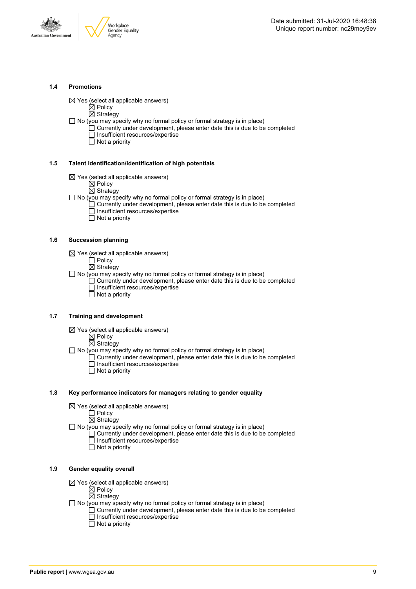



#### **1.4 Promotions**

 $\boxtimes$  Yes (select all applicable answers)

 $\boxtimes$  Policy  $\overline{\boxtimes}$  Strategy

- $\Box$  No (you may specify why no formal policy or formal strategy is in place)
	- $\Box$  Currently under development, please enter date this is due to be completed □ Insufficient resources/expertise
		- $\overline{\Box}$  Not a priority

#### **1.5 Talent identification/identification of high potentials**

- $\boxtimes$  Yes (select all applicable answers)
	- $\boxtimes$  Policy
	- $\overline{\boxtimes}$  Strategy
- $\Box$  No (you may specify why no formal policy or formal strategy is in place)
	- Currently under development, please enter date this is due to be completed Insufficient resources/expertise
		- $\overline{\Box}$  Not a priority

#### **1.6 Succession planning**

- $\boxtimes$  Yes (select all applicable answers)
	- $\Box$  Policy
	- $\overline{\boxtimes}$  Strategy

 $\Box$  No (you may specify why no formal policy or formal strategy is in place)

- $\Box$  Currently under development, please enter date this is due to be completed Insufficient resources/expertise
- Not a priority

#### **1.7 Training and development**

- $\boxtimes$  Yes (select all applicable answers)
	- $\mathbb{\dot{Z}}$  Policy
		- $\boxtimes$  Strategy
- $\Box$  No (you may specify why no formal policy or formal strategy is in place)
	- Currently under development, please enter date this is due to be completed Insufficient resources/expertise
		- $\Box$  Not a priority

#### **1.8 Key performance indicators for managers relating to gender equality**

- $\boxtimes$  Yes (select all applicable answers)
	- □ Policy
	- $\boxtimes$  Strategy
- $\Box$  No (you may specify why no formal policy or formal strategy is in place)
	- $\Box$  Currently under development, please enter date this is due to be completed Insufficient resources/expertise
		- Not a priority

#### **1.9 Gender equality overall**

- $\boxtimes$  Yes (select all applicable answers)
	- $\mathbb{\dot{A}}$  Policy
	- $\boxtimes$  Strategy
- $\Box$  No (you may specify why no formal policy or formal strategy is in place)
	- $\Box$  Currently under development, please enter date this is due to be completed □ Insufficient resources/expertise
		- $\Box$  Not a priority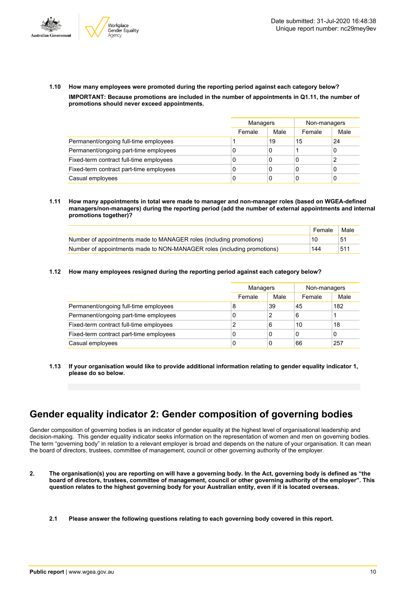



**1.10 How many employees were promoted during the reporting period against each category below? IMPORTANT: Because promotions are included in the number of appointments in Q1.11, the number of promotions should never exceed appointments.**

|                                         |        | Managers |        | Non-managers |
|-----------------------------------------|--------|----------|--------|--------------|
|                                         | Female | Male     | Female | Male         |
| Permanent/ongoing full-time employees   |        | 19       | 15     | 24           |
| Permanent/ongoing part-time employees   | 0      | 0        |        |              |
| Fixed-term contract full-time employees | 0      | 0        | 0      |              |
| Fixed-term contract part-time employees | 0      | 0        | 0      |              |
| Casual employees                        | 0      | 0        | C      |              |

**1.11 How many appointments in total were made to manager and non-manager roles (based on WGEA-defined managers/non-managers) during the reporting period (add the number of external appointments and internal promotions together)?**

|                                                                         | Female | Male |
|-------------------------------------------------------------------------|--------|------|
| Number of appointments made to MANAGER roles (including promotions)     | 10     | 51   |
| Number of appointments made to NON-MANAGER roles (including promotions) | 144    | 511  |

**1.12 How many employees resigned during the reporting period against each category below?**

|                                         | Managers |      | Non-managers |      |
|-----------------------------------------|----------|------|--------------|------|
|                                         | Female   | Male | Female       | Male |
| Permanent/ongoing full-time employees   | 8        | 39   | 45           | 182  |
| Permanent/ongoing part-time employees   | C        | 2    | 6            |      |
| Fixed-term contract full-time employees |          | 6    | 10           | 18   |
| Fixed-term contract part-time employees | C        | 0    | 0            | 0    |
| Casual employees                        | C        | 0    | 66           | 257  |

**1.13 If your organisation would like to provide additional information relating to gender equality indicator 1, please do so below.**

# **Gender equality indicator 2: Gender composition of governing bodies**

Gender composition of governing bodies is an indicator of gender equality at the highest level of organisational leadership and decision-making. This gender equality indicator seeks information on the representation of women and men on governing bodies. The term "governing body" in relation to a relevant employer is broad and depends on the nature of your organisation. It can mean the board of directors, trustees, committee of management, council or other governing authority of the employer.

- 2. The organisation(s) you are reporting on will have a governing body. In the Act, governing body is defined as "the board of directors, trustees, committee of management, council or other governing authority of the employer". This question relates to the highest governing body for your Australian entity, even if it is located overseas.
	- **2.1 Please answer the following questions relating to each governing body covered in this report.**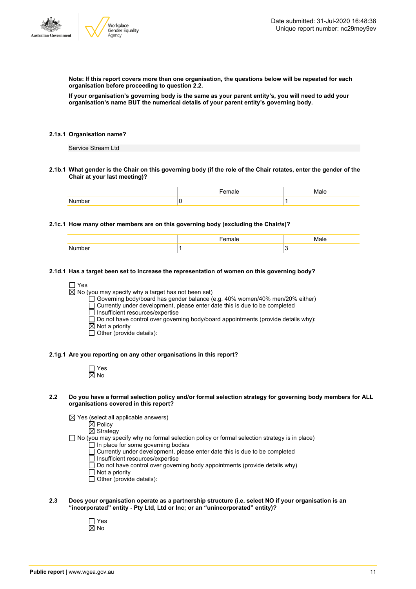

**Note: If this report covers more than one organisation, the questions below will be repeated for each organisation before proceeding to question 2.2.**

If your organisation's governing body is the same as your parent entity's, you will need to add your **organisation's name BUT the numerical details of your parent entity's governing body.**

#### **2.1a.1 Organisation name?**

Service Stream Ltd

2.1b.1 What gender is the Chair on this governing body (if the role of the Chair rotates, enter the gender of the **Chair at your last meeting)?**

#### **2.1c.1 How many other members are on this governing body (excluding the Chair/s)?**

|        | тые |  |
|--------|-----|--|
| Number |     |  |

#### **2.1d.1 Has a target been set to increase the representation of women on this governing body?**

 $\Box$  Yes

 $\boxtimes$  No (you may specify why a target has not been set)

Governing body/board has gender balance (e.g. 40% women/40% men/20% either)

Currently under development, please enter date this is due to be completed

 $\overline{\Box}$  Insufficient resources/expertise

 $\square$  Do not have control over governing body/board appointments (provide details why):

- $\boxtimes$  Not a priority
- $\Box$  Other (provide details):

#### **2.1g.1 Are you reporting on any other organisations in this report?**

| n<br>۸ľ<br>Y, |
|---------------|

#### 2.2 Do you have a formal selection policy and/or formal selection strategy for governing body members for ALL **organisations covered in this report?**

 $\boxtimes$  Yes (select all applicable answers)

 $\overline{\boxtimes}$  Policy  $\boxtimes$  Strategy

 $\Box$  No (you may specify why no formal selection policy or formal selection strategy is in place)

- In place for some governing bodies
- Currently under development, please enter date this is due to be completed
- Insufficient resources/expertise
- $\Box$  Do not have control over governing body appointments (provide details why)
- $\overline{\Box}$  Not a priority
- $\Box$  Other (provide details):
- **2.3 Does your organisation operate as a partnership structure (i.e. select NO if your organisation is an "incorporated" entity - Pty Ltd, Ltd or Inc; or an "unincorporated" entity)?**
	- Yes  $\overline{\boxtimes}$  No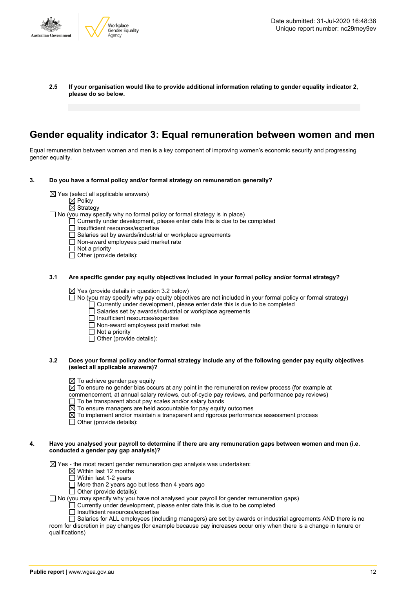

**2.5 If your organisation would like to provide additional information relating to gender equality indicator 2, please do so below.**

### **Gender equality indicator 3: Equal remuneration between women and men**

Equal remuneration between women and men is a key component of improving women's economic security and progressing gender equality.

- **3. Do you have a formal policy and/or formal strategy on remuneration generally?**
	- $\boxtimes$  Yes (select all applicable answers)
		-
		- $\mathbb{\dot{Z}}$  Policy
		- $\boxtimes$  Strategy
	- $\Box$  No (you may specify why no formal policy or formal strategy is in place)
		- $\Box$  Currently under development, please enter date this is due to be completed
		- Insufficient resources/expertise
		- Salaries set by awards/industrial or workplace agreements
		- $\Box$  Non-award employees paid market rate
		- $\Box$  Not a priority
		- $\Box$  Other (provide details):

#### **3.1 Are specific gender pay equity objectives included in your formal policy and/or formal strategy?**

 $\boxtimes$  Yes (provide details in question 3.2 below)

 $\Box$  No (you may specify why pay equity objectives are not included in your formal policy or formal strategy)

- $\Box$  Currently under development, please enter date this is due to be completed
- Salaries set by awards/industrial or workplace agreements
- □ Insufficient resources/expertise<br>□ Non-award employees paid ma
- $\overline{\Box}$  Non-award employees paid market rate
- $\Box$  Not a priority
- $\Box$  Other (provide details):

#### 3.2 Does your formal policy and/or formal strategy include any of the following gender pay equity objectives **(select all applicable answers)?**

- $\boxtimes$  To achieve gender pay equity
- $\overline{\boxtimes}$  To ensure no gender bias occurs at any point in the remuneration review process (for example at
- commencement, at annual salary reviews, out-of-cycle pay reviews, and performance pay reviews)
- $\Box$  To be transparent about pay scales and/or salary bands
- $\overline{\boxtimes}$  To ensure managers are held accountable for pay equity outcomes
- $\boxtimes$  To implement and/or maintain a transparent and rigorous performance assessment process
- $\Box$  Other (provide details):

#### 4. Have you analysed your payroll to determine if there are any remuneration gaps between women and men (i.e. **conducted a gender pay gap analysis)?**

 $\boxtimes$  Yes - the most recent gender remuneration gap analysis was undertaken:

- $\boxtimes$  Within last 12 months
- $\overline{\Box}$  Within last 1-2 years
- $\Box$  More than 2 years ago but less than 4 years ago

 $\Box$  Other (provide details):

 $\Box$  No (you may specify why you have not analysed your payroll for gender remuneration gaps)

- $\Box$  Currently under development, please enter date this is due to be completed
- $\Box$  Insufficient resources/expertise

 $\Box$  Salaries for ALL employees (including managers) are set by awards or industrial agreements AND there is no room for discretion in pay changes (for example because pay increases occur only when there is a change in tenure or qualifications)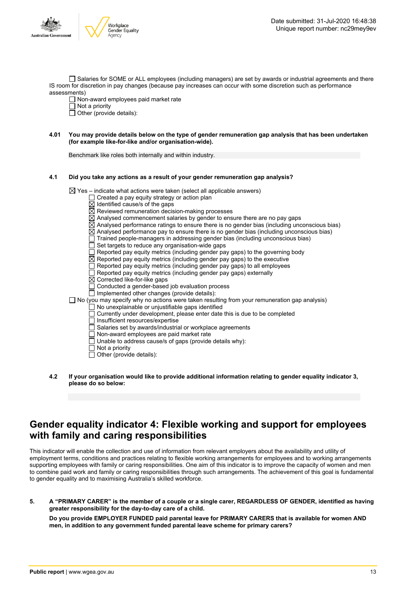

Salaries for SOME or ALL employees (including managers) are set by awards or industrial agreements and there IS room for discretion in pay changes (because pay increases can occur with some discretion such as performance assessments)

Non-award employees paid market rate

 $\Box$  Not a priority

- $\Box$  Other (provide details):
- 4.01 You may provide details below on the type of gender remuneration gap analysis that has been undertaken **(for example like-for-like and/or organisation-wide).**

Benchmark like roles both internally and within industry.

#### **4.1 Did you take any actions as a result of your gender remuneration gap analysis?**

 $\boxtimes$  Yes – indicate what actions were taken (select all applicable answers)

- $\Box$  Created a pay equity strategy or action plan
- $\overline{\boxtimes}$  Identified cause/s of the gaps
- $\overline{\boxtimes}$  Reviewed remuneration decision-making processes
- $\boxtimes$  Analysed commencement salaries by gender to ensure there are no pay gaps
- $\boxtimes$  Analysed performance ratings to ensure there is no gender bias (including unconscious bias)
- $\boxtimes$  Analysed performance pay to ensure there is no gender bias (including unconscious bias)
- $\Box$  Trained people-managers in addressing gender bias (including unconscious bias)
- $\Box$  Set targets to reduce any organisation-wide gaps
- $\overline{\Box}$  Reported pay equity metrics (including gender pay gaps) to the governing body
- $\boxtimes$  Reported pay equity metrics (including gender pay gaps) to the executive
- $\overline{\Box}$  Reported pay equity metrics (including gender pay gaps) to all employees
- $\Box$  Reported pay equity metrics (including gender pay gaps) externally
- Corrected like-for-like gaps
- □ Conducted a gender-based job evaluation process
- $\Box$  Implemented other changes (provide details):
- $\square$  No (you may specify why no actions were taken resulting from your remuneration gap analysis)
	- No unexplainable or unjustifiable gaps identified
	- Currently under development, please enter date this is due to be completed
	- $\overline{\Box}$  Insufficient resources/expertise
	- $\Box$  Salaries set by awards/industrial or workplace agreements
	- Non-award employees are paid market rate
	- Unable to address cause/s of gaps (provide details why):
	- $\overline{\Box}$  Not a priority
	- $\Box$  Other (provide details):
- **4.2 If your organisation would like to provide additional information relating to gender equality indicator 3, please do so below:**

### **Gender equality indicator 4: Flexible working and support for employees with family and caring responsibilities**

This indicator will enable the collection and use of information from relevant employers about the availability and utility of employment terms, conditions and practices relating to flexible working arrangements for employees and to working arrangements supporting employees with family or caring responsibilities. One aim of this indicator is to improve the capacity of women and men to combine paid work and family or caring responsibilities through such arrangements. The achievement of this goal is fundamental to gender equality and to maximising Australia's skilled workforce.

5. A "PRIMARY CARER" is the member of a couple or a single carer, REGARDLESS OF GENDER, identified as having **greater responsibility for the day-to-day care of a child.**

**Do you provide EMPLOYER FUNDED paid parental leave for PRIMARY CARERS that is available for women AND men, in addition to any government funded parental leave scheme for primary carers?**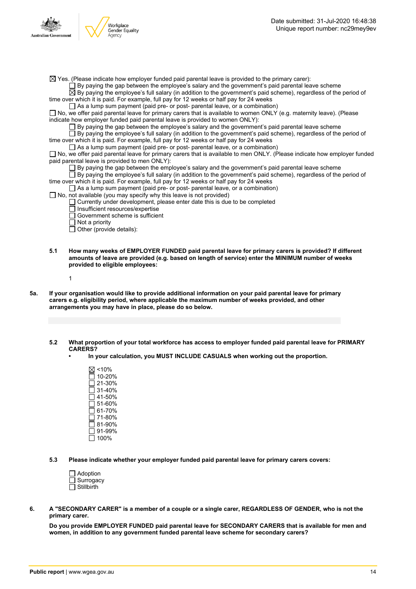

 $\boxtimes$  Yes. (Please indicate how employer funded paid parental leave is provided to the primary carer):

 $\Box$  By paying the gap between the employee's salary and the government's paid parental leave scheme

 $\overline{\boxtimes}$  By paying the employee's full salary (in addition to the government's paid scheme), regardless of the period of time over which it is paid. For example, full pay for 12 weeks or half pay for 24 weeks

 $\Box$  As a lump sum payment (paid pre- or post- parental leave, or a combination)

No, we offer paid parental leave for primary carers that is available to women ONLY (e.g. maternity leave). (Please indicate how employer funded paid parental leave is provided to women ONLY):

By paying the gap between the employee's salary and the government's paid parental leave scheme

By paying the employee's full salary (in addition to the government's paid scheme), regardless of the period of time over which it is paid. For example, full pay for 12 weeks or half pay for 24 weeks

 $\Box$  As a lump sum payment (paid pre- or post- parental leave, or a combination)

□ No, we offer paid parental leave for primary carers that is available to men ONLY. (Please indicate how employer funded paid parental leave is provided to men ONLY):

By paying the gap between the employee's salary and the government's paid parental leave scheme

 $\Box$  By paying the employee's full salary (in addition to the government's paid scheme), regardless of the period of time over which it is paid. For example, full pay for 12 weeks or half pay for 24 weeks

- $\Box$  As a lump sum payment (paid pre- or post- parental leave, or a combination)
- $\Box$  No, not available (you may specify why this leave is not provided)

 $\Box$  Currently under development, please enter date this is due to be completed

- Insufficient resources/expertise
- Government scheme is sufficient
- $\overline{\Box}$  Not a priority

 $\Box$  Other (provide details):

**5.1 How many weeks of EMPLOYER FUNDED paid parental leave for primary carers is provided? If different amounts of leave are provided (e.g. based on length of service) enter the MINIMUM number of weeks provided to eligible employees:**

1

- 5a. If your organisation would like to provide additional information on your paid parental leave for primary **carers e.g. eligibility period, where applicable the maximum number of weeks provided, and other arrangements you may have in place, please do so below.**
	- **5.2 What proportion of your total workforce has access to employer funded paid parental leave for PRIMARY CARERS?**
		- **• In your calculation, you MUST INCLUDE CASUALS when working out the proportion.**
			- $\boxtimes$  <10%  $\Box$  10-20%  $\overline{\Box}$  21-30%  $\Box$  31-40% 41-50% 51-60%  $\Box$  61-70%  $\square$  71-80%  $\Box$  81-90% 91-99%  $\overline{\Box}$  100%

**5.3 Please indicate whether your employer funded paid parental leave for primary carers covers:**

| $\Box$ Adoption   |
|-------------------|
| $\Box$ Surrogacy  |
| $\Box$ Stillbirth |

6. A "SECONDARY CARER" is a member of a couple or a single carer, REGARDLESS OF GENDER, who is not the **primary carer.**

**Do you provide EMPLOYER FUNDED paid parental leave for SECONDARY CARERS that is available for men and women, in addition to any government funded parental leave scheme for secondary carers?**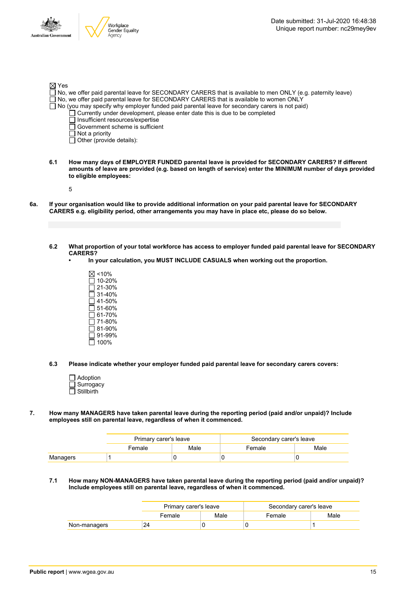|                   | Workplace<br>Gender Equality                                                           | Date submitted: 31-Jul-2020 16:48:38<br>Unique report number: nc29mey9ev                                   |
|-------------------|----------------------------------------------------------------------------------------|------------------------------------------------------------------------------------------------------------|
| ralian Government | Agency                                                                                 |                                                                                                            |
|                   |                                                                                        |                                                                                                            |
|                   |                                                                                        |                                                                                                            |
| ⊠ Yes             | TNo, we offer paid parental leave for SECONDARY CARERS that is available to women ONLY | No, we offer paid parental leave for SECONDARY CARERS that is available to men ONLY (e.g. paternity leave) |
|                   | Currently under development, please enter date this is due to be completed             | No (you may specify why employer funded paid parental leave for secondary carers is not paid)              |
|                   | Insufficient resources/expertise<br>Government scheme is sufficient                    |                                                                                                            |
|                   | Not a priority                                                                         |                                                                                                            |
|                   | Other (provide details):                                                               |                                                                                                            |

- **6.1 How many days of EMPLOYER FUNDED parental leave is provided for SECONDARY CARERS? If different** amounts of leave are provided (e.g. based on length of service) enter the MINIMUM number of days provided **to eligible employees:**
	- 5

 $\Delta$   $\frac{1}{2}$ 

Aust

 $\sqrt{ }$ 

- 6a. If your organisation would like to provide additional information on your paid parental leave for SECONDARY **CARERS e.g. eligibility period, other arrangements you may have in place etc, please do so below.**
	- 6.2 What proportion of your total workforce has access to employer funded paid parental leave for SECONDARY **CARERS?**
		- **• In your calculation, you MUST INCLUDE CASUALS when working out the proportion.**
			- $\boxtimes$  <10%  $\Box$  10-20% 21-30% 31-40%  $\overline{\Box}$  41-50%  $\square$  51-60% 61-70% 71-80% 81-90% 91-99%  $\overline{\Box}$  100%
	- **6.3 Please indicate whether your employer funded paid parental leave for secondary carers covers:**
		- Adoption **Surrogacy** Stillbirth
- **7. How many MANAGERS have taken parental leave during the reporting period (paid and/or unpaid)? Include employees still on parental leave, regardless of when it commenced.**

|          | Primary carer's leave |                        | Secondary carer's leave |  |
|----------|-----------------------|------------------------|-------------------------|--|
|          | Female                | Male<br>Male<br>Female |                         |  |
| Managers |                       |                        |                         |  |

**7.1 How many NON-MANAGERS have taken parental leave during the reporting period (paid and/or unpaid)? Include employees still on parental leave, regardless of when it commenced.**

|              | Primary carer's leave |      | Secondary carer's leave |      |
|--------------|-----------------------|------|-------------------------|------|
|              | Female                | Male | Female                  | Male |
| Non-managers | 24                    |      |                         |      |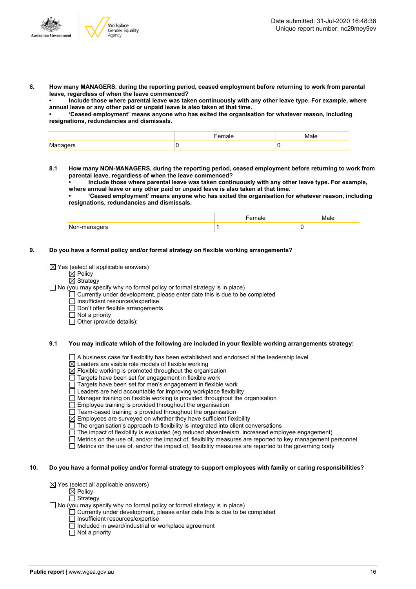

**8. How many MANAGERS, during the reporting period, ceased employment before returning to work from parental leave, regardless of when the leave commenced?**

**• Include those where parental leave was taken continuously with any other leave type. For example, where annual leave or any other paid or unpaid leave is also taken at that time.**

**• 'Ceased employment' means anyone who has exited the organisation for whatever reason, including resignations, redundancies and dismissals.**

|  | $-10$ |
|--|-------|
|  |       |

**8.1 How many NON-MANAGERS, during the reporting period, ceased employment before returning to work from parental leave, regardless of when the leave commenced?**

**• Include those where parental leave was taken continuously with any other leave type. For example, where annual leave or any other paid or unpaid leave is also taken at that time.**

**• 'Ceased employment' means anyone who has exited the organisation for whatever reason, including resignations, redundancies and dismissals.**

| או בו<br>. |  |
|------------|--|

#### **9. Do you have a formal policy and/or formal strategy on flexible working arrangements?**

 $\boxtimes$  Yes (select all applicable answers)

- $\overline{\boxtimes}$  Policy
- $\boxtimes$  Strategy

 $\Box$  No (you may specify why no formal policy or formal strategy is in place)

 $\Box$  Currently under development, please enter date this is due to be completed

 $\overline{\Box}$  Insufficient resources/expertise

- $\Box$  Don't offer flexible arrangements
- $\Box$  Not a priority
- $\Box$  Other (provide details):

#### **9.1 You may indicate which of the following are included in your flexible working arrangements strategy:**

 $\Box$  A business case for flexibility has been established and endorsed at the leadership level

 $\overline{\boxtimes}$  Leaders are visible role models of flexible working

 $\boxtimes$  Flexible working is promoted throughout the organisation

- Targets have been set for engagement in flexible work
- Targets have been set for men's engagement in flexible work

 $\Box$  Leaders are held accountable for improving workplace flexibility

Manager training on flexible working is provided throughout the organisation

Employee training is provided throughout the organisation

Team-based training is provided throughout the organisation

 $\overline{\boxtimes}$  Employees are surveyed on whether they have sufficient flexibility

 $\Box$  The organisation's approach to flexibility is integrated into client conversations

 $\Box$  The impact of flexibility is evaluated (eg reduced absenteeism, increased employee engagement)

Metrics on the use of, and/or the impact of, flexibility measures are reported to key management personnel

Metrics on the use of, and/or the impact of, flexibility measures are reported to the governing body

#### 10. Do you have a formal policy and/or formal strategy to support employees with family or caring responsibilities?

 $\boxtimes$  Yes (select all applicable answers)

- $\mathbf{A}$  Policy
	- $\Box$  Strategy

 $\Box$  No (you may specify why no formal policy or formal strategy is in place)

- $\Box$  Currently under development, please enter date this is due to be completed
	- Insufficient resources/expertise
	- Included in award/industrial or workplace agreement
	- $\overline{\Box}$  Not a priority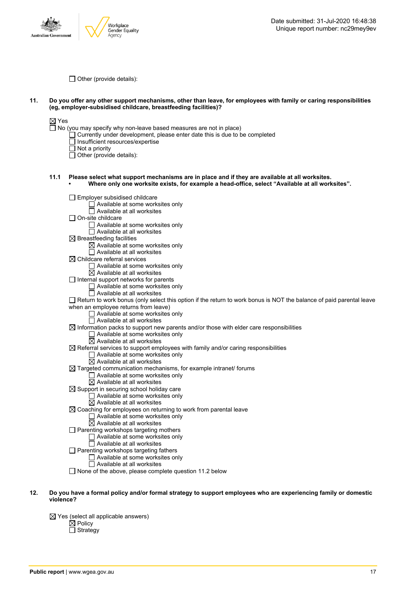

 $\Box$  Other (provide details):

#### 11. Do you offer any other support mechanisms, other than leave, for employees with family or caring responsibilities **(eg, employer-subsidised childcare, breastfeeding facilities)?**

 $\boxtimes$  Yes

 $\Box$  No (you may specify why non-leave based measures are not in place)

- Currently under development, please enter date this is due to be completed
- Insufficient resources/expertise
- Not a priority

 $\Box$  Other (provide details):

- **11.1 Please select what support mechanisms are in place and if they are available at all worksites. • Where only one worksite exists, for example a head-office, select "Available at all worksites".**
	- **Employer subsidised childcare** 
		- Available at some worksites only
		- Available at all worksites
	- $\Box$  On-site childcare
		- Available at some worksites only
		- $\Box$  Available at all worksites
	- $\boxtimes$  Breastfeeding facilities
		- $\boxtimes$  Available at some worksites only
		- $\overline{\Box}$  Available at all worksites
	- $\boxtimes$  Childcare referral services
		- Available at some worksites only
	- $\boxtimes$  Available at all worksites  $\Box$  Internal support networks for parents
		- - □ Available at some worksites only  $\Box$  Available at all worksites
		-
	- $\Box$  Return to work bonus (only select this option if the return to work bonus is NOT the balance of paid parental leave when an employee returns from leave)
		- □ Available at some worksites only
		- $\Box$  Available at all worksites
	- $\boxtimes$  Information packs to support new parents and/or those with elder care responsibilities
		- $\Box$  Available at some worksites only
		- $\boxtimes$  Available at all worksites
	- $\boxtimes$  Referral services to support employees with family and/or caring responsibilities
		- □ Available at some worksites only
		- $\boxtimes$  Available at all worksites
	- $\boxtimes$  Targeted communication mechanisms, for example intranet/ forums
		- □ Available at some worksites only
			- $\boxtimes$  Available at all worksites
	- $\overline{\boxtimes}$  Support in securing school holiday care
		- $\Box$  Available at some worksites only
		- $\overline{\boxtimes}$  Available at all worksites
	- $\boxtimes$  Coaching for employees on returning to work from parental leave
		- Available at some worksites only
			- $\overline{\boxtimes}$  Available at all worksites
	- $\Box$  Parenting workshops targeting mothers
		- Available at some worksites only
			- Available at all worksites
	- $\Box$  Parenting workshops targeting fathers
		- Available at some worksites only
			- $\Box$  Available at all worksites
	- $\Box$  None of the above, please complete question 11.2 below
- 12. Do you have a formal policy and/or formal strategy to support employees who are experiencing family or domestic **violence?**

 $\boxtimes$  Yes (select all applicable answers)  $\boxtimes$  Policy  $\Box$  Strategy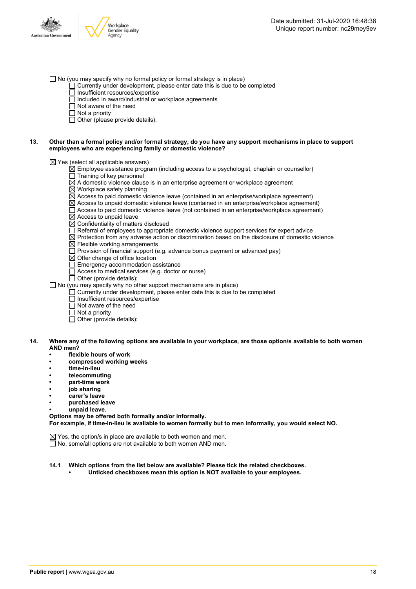

- $\Box$  No (you may specify why no formal policy or formal strategy is in place)
	- $\Box$  Currently under development, please enter date this is due to be completed
	- $\overline{\Box}$  Insufficient resources/expertise
	- □ Included in award/industrial or workplace agreements
	- $\Box$  Not aware of the need
	- $\overline{\Box}$  Not a priority
	- $\Box$  Other (please provide details):

#### 13. Other than a formal policy and/or formal strategy, do you have any support mechanisms in place to support **employees who are experiencing family or domestic violence?**

 $\boxtimes$  Yes (select all applicable answers)

- $\boxtimes$  Employee assistance program (including access to a psychologist, chaplain or counsellor)
- $\Box$  Training of key personnel
- $\overline{\boxtimes}$  A domestic violence clause is in an enterprise agreement or workplace agreement
- $\overline{\boxtimes}$  Workplace safety planning
- $\overline{\boxtimes}$  Access to paid domestic violence leave (contained in an enterprise/workplace agreement)
- $\overline{\boxtimes}$  Access to unpaid domestic violence leave (contained in an enterprise/workplace agreement)
- $\Box$  Access to paid domestic violence leave (not contained in an enterprise/workplace agreement)  $\overline{\boxtimes}$  Access to unpaid leave
- $\boxtimes$  Confidentiality of matters disclosed
- $\Box$  Referral of employees to appropriate domestic violence support services for expert advice
- $\boxtimes$  Protection from any adverse action or discrimination based on the disclosure of domestic violence
- $\overline{\boxtimes}$  Flexible working arrangements
- $\Box$  Provision of financial support (e.g. advance bonus payment or advanced pay)
- $\overline{\boxtimes}$  Offer change of office location
- $\Box$  Emergency accommodation assistance
- $\Box$  Access to medical services (e.g. doctor or nurse)
- $\Box$  Other (provide details):

 $\Box$  No (you may specify why no other support mechanisms are in place)

- $\Box$  Currently under development, please enter date this is due to be completed
- $\overline{\Box}$  Insufficient resources/expertise
- Not aware of the need
- $\overline{\Box}$  Not a priority
- $\Box$  Other (provide details):
- 14. Where any of the following options are available in your workplace, are those option/s available to both women **AND men?**
	- **• flexible hours of work**
	- **• compressed working weeks**
	- **• time-in-lieu**
	- **• telecommuting**
	- **• part-time work**
	- **• job sharing**
	- **• carer's leave**
	- **• purchased leave**
	- **• unpaid leave.**

**Options may be offered both formally and/or informally.**

**For example, if time-in-lieu is available to women formally but to men informally, you would select NO.**

 $\boxtimes$  Yes, the option/s in place are available to both women and men.

 $\Box$  No, some/all options are not available to both women AND men.

**14.1 Which options from the list below are available? Please tick the related checkboxes. • Unticked checkboxes mean this option is NOT available to your employees.**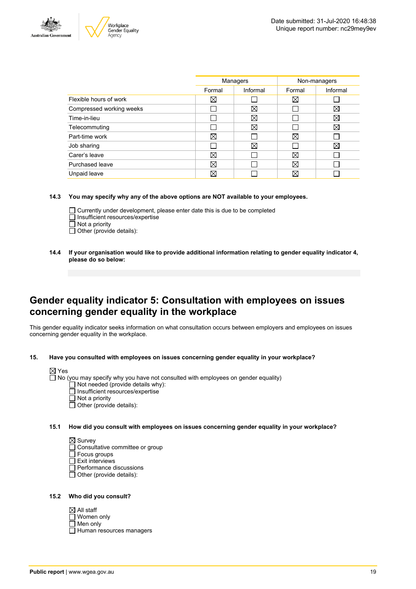



|                          | Managers |             | Non-managers |          |
|--------------------------|----------|-------------|--------------|----------|
|                          | Formal   | Informal    | Formal       | Informal |
| Flexible hours of work   | ⊠        |             | ⊠            |          |
| Compressed working weeks |          | $\boxtimes$ |              | ⊠        |
| Time-in-lieu             |          | X           |              | ⊠        |
| Telecommuting            |          | $\boxtimes$ |              | X        |
| Part-time work           | ⊠        |             | ⊠            |          |
| Job sharing              |          | ⊠           |              | ⊠        |
| Carer's leave            | ⊠        |             | ⊠            |          |
| Purchased leave          | ⊠        |             | ⊠            |          |
| Unpaid leave             | ⊠        |             | X            |          |
|                          |          |             |              |          |

**14.3 You may specify why any of the above options are NOT available to your employees.**

- Currently under development, please enter date this is due to be completed  $\Box$  Insufficient resources/expertise  $\overline{\Box}$  Not a priority
- $\Box$  Other (provide details):
- 
- **14.4 If your organisation would like to provide additional information relating to gender equality indicator 4, please do so below:**

### **Gender equality indicator 5: Consultation with employees on issues concerning gender equality in the workplace**

This gender equality indicator seeks information on what consultation occurs between employers and employees on issues concerning gender equality in the workplace.

**15. Have you consulted with employees on issues concerning gender equality in your workplace?**

| ×<br>۰,<br>۰, |  |
|---------------|--|
|               |  |

No (you may specify why you have not consulted with employees on gender equality)

- Not needed (provide details why):
- Insufficient resources/expertise
- $\overline{\Box}$  Not a priority
- $\overline{\Box}$  Other (provide details):

**15.1 How did you consult with employees on issues concerning gender equality in your workplace?**

 $\boxtimes$  Survey □ Consultative committee or group

- Focus groups
- $\Box$  Exit interviews
- Performance discussions
- Other (provide details):

#### **15.2 Who did you consult?**

| $\boxtimes$ All staff    |
|--------------------------|
| $\Box$ Women only        |
| $\Box$ Men only          |
| Human resources managers |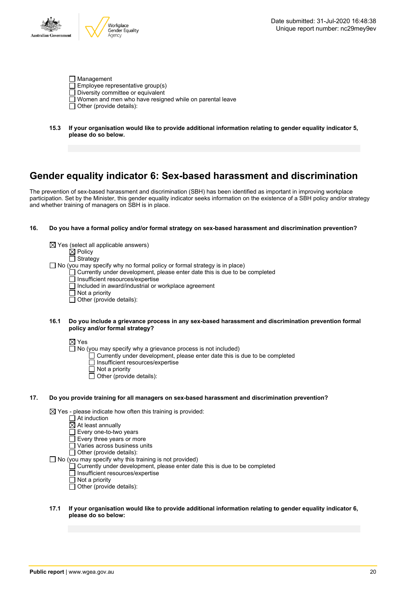

| $\Box$ Management                                              |
|----------------------------------------------------------------|
| $\Box$ Employee representative group(s)                        |
| $\Box$ Diversity committee or equivalent                       |
| $\Box$ Women and men who have resigned while on parental leave |
| $\Box$ Other (provide details):                                |

**15.3 If your organisation would like to provide additional information relating to gender equality indicator 5, please do so below.**

### **Gender equality indicator 6: Sex-based harassment and discrimination**

The prevention of sex-based harassment and discrimination (SBH) has been identified as important in improving workplace participation. Set by the Minister, this gender equality indicator seeks information on the existence of a SBH policy and/or strategy and whether training of managers on SBH is in place.

#### **16. Do you have a formal policy and/or formal strategy on sex-based harassment and discrimination prevention?**

- $\boxtimes$  Yes (select all applicable answers)
	- $\overline{\mathsf{M}}$  Policy
	- $\Box$  Strategy
- $\Box$  No (you may specify why no formal policy or formal strategy is in place)
	- $\Box$  Currently under development, please enter date this is due to be completed
	- $\overline{\Box}$  Insufficient resources/expertise
	- $\Box$  Included in award/industrial or workplace agreement
	- $\Box$  Not a priority
	- $\Box$  Other (provide details):

#### **16.1 Do you include a grievance process in any sex-based harassment and discrimination prevention formal policy and/or formal strategy?**

#### ⊠ Yes

- $\Box$  No (you may specify why a grievance process is not included)
	- Currently under development, please enter date this is due to be completed
	- □ Insufficient resources/expertise
	- Not a priority
	- $\Box$  Other (provide details):

#### **17. Do you provide training for all managers on sex-based harassment and discrimination prevention?**

 $\boxtimes$  Yes - please indicate how often this training is provided:

- $\Box$  At induction
- $\overline{\boxtimes}$  At least annually
- Every one-to-two years
- Every three years or more
- □ Varies across business units
- $\Box$  Other (provide details):
- $\Box$  No (you may specify why this training is not provided)
	- $\Box$  Currently under development, please enter date this is due to be completed
	- Insufficient resources/expertise
	- □ Not a priority  $\Box$  Other (provide details):
- **17.1 If your organisation would like to provide additional information relating to gender equality indicator 6, please do so below:**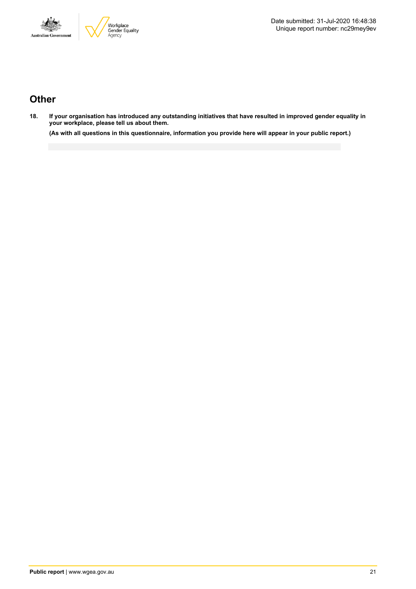



# **Other**

18. If your organisation has introduced any outstanding initiatives that have resulted in improved gender equality in **your workplace, please tell us about them.**

(As with all questions in this questionnaire, information you provide here will appear in your public report.)